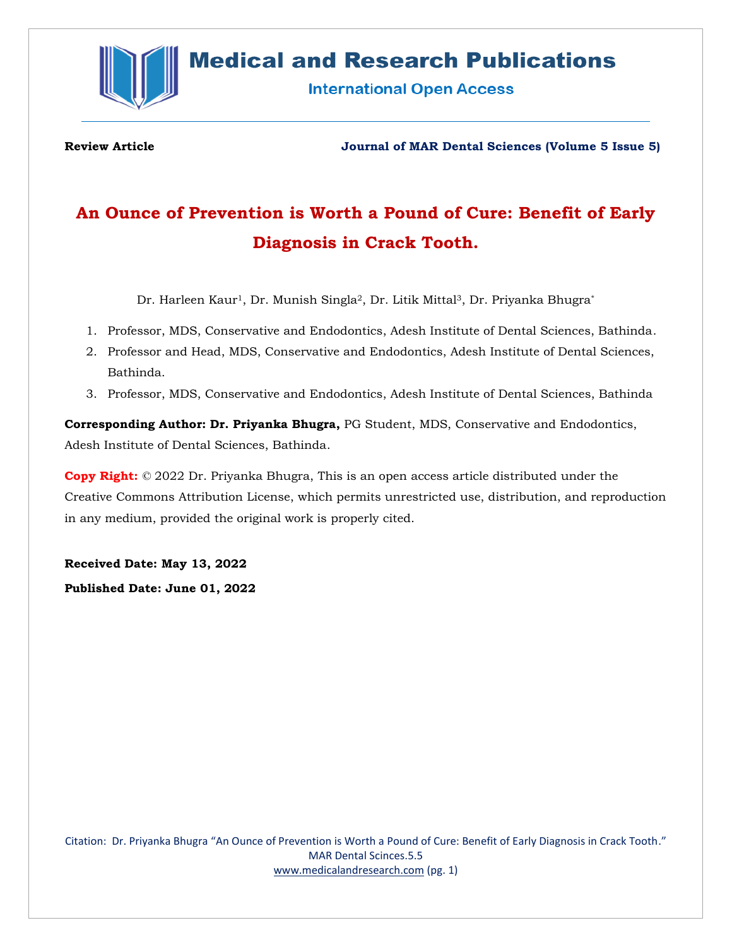

## **Medical and Research Publications**

**International Open Access** 

**Review Article Journal of MAR Dental Sciences (Volume 5 Issue 5)**

# **An Ounce of Prevention is Worth a Pound of Cure: Benefit of Early Diagnosis in Crack Tooth.**

Dr. Harleen Kaur<sup>1</sup>, Dr. Munish Singla<sup>2</sup>, Dr. Litik Mittal<sup>3</sup>, Dr. Priyanka Bhugra<sup>\*</sup>

- 1. Professor, MDS, Conservative and Endodontics, Adesh Institute of Dental Sciences, Bathinda.
- 2. Professor and Head, MDS, Conservative and Endodontics, Adesh Institute of Dental Sciences, Bathinda.
- 3. Professor, MDS, Conservative and Endodontics, Adesh Institute of Dental Sciences, Bathinda

**Corresponding Author: Dr. Priyanka Bhugra,** PG Student, MDS, Conservative and Endodontics, Adesh Institute of Dental Sciences, Bathinda.

**Copy Right:** © 2022 Dr. Priyanka Bhugra, This is an open access article distributed under the Creative Commons Attribution License, which permits unrestricted use, distribution, and reproduction in any medium, provided the original work is properly cited.

**Received Date: May 13, 2022 Published Date: June 01, 2022**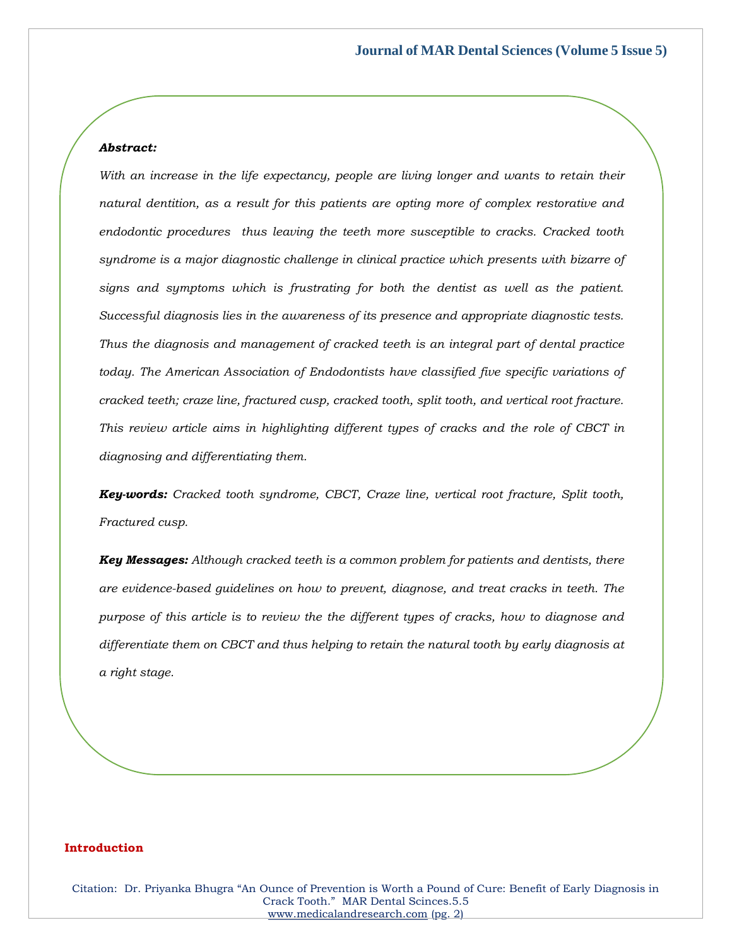## *Abstract:*

*With an increase in the life expectancy, people are living longer and wants to retain their natural dentition, as a result for this patients are opting more of complex restorative and endodontic procedures thus leaving the teeth more susceptible to cracks. Cracked tooth syndrome is a major diagnostic challenge in clinical practice which presents with bizarre of signs and symptoms which is frustrating for both the dentist as well as the patient. Successful diagnosis lies in the awareness of its presence and appropriate diagnostic tests. Thus the diagnosis and management of cracked teeth is an integral part of dental practice today. The American Association of Endodontists have classified five specific variations of cracked teeth; craze line, fractured cusp, cracked tooth, split tooth, and vertical root fracture. This review article aims in highlighting different types of cracks and the role of CBCT in diagnosing and differentiating them.*

*Key-words: Cracked tooth syndrome, CBCT, Craze line, vertical root fracture, Split tooth, Fractured cusp.*

*Key Messages: Although cracked teeth is a common problem for patients and dentists, there are evidence-based guidelines on how to prevent, diagnose, and treat cracks in teeth. The purpose of this article is to review the the different types of cracks, how to diagnose and differentiate them on CBCT and thus helping to retain the natural tooth by early diagnosis at a right stage.*

#### **Introduction**

Citation: Dr. Priyanka Bhugra "An Ounce of Prevention is Worth a Pound of Cure: Benefit of Early Diagnosis in Crack Tooth." MAR Dental Scinces.5.5 [www.medicalandresearch.com](http://www.medicalandresearch.com/) (pg. 2)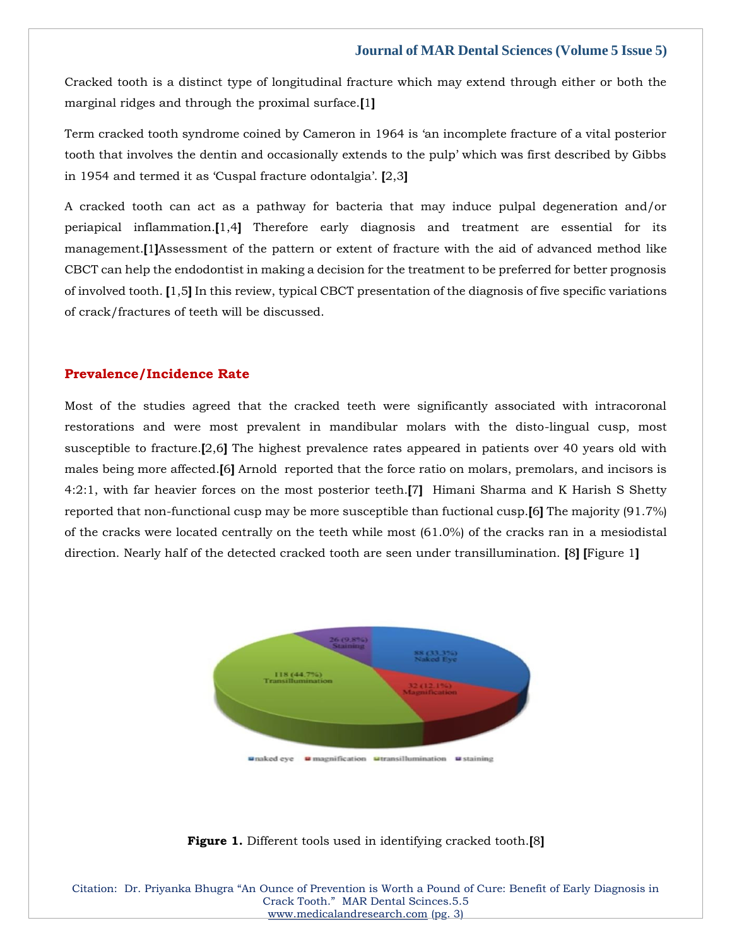Cracked tooth is a distinct type of longitudinal fracture which may extend through either or both the marginal ridges and through the proximal surface.**[**1**]**

Term cracked tooth syndrome coined by Cameron in 1964 is 'an incomplete fracture of a vital posterior tooth that involves the dentin and occasionally extends to the pulp' which was first described by Gibbs in 1954 and termed it as 'Cuspal fracture odontalgia'. **[**2,3**]**

A cracked tooth can act as a pathway for bacteria that may induce pulpal degeneration and/or periapical inflammation.**[**1,4**]** Therefore early diagnosis and treatment are essential for its management.**[**1**]**Assessment of the pattern or extent of fracture with the aid of advanced method like CBCT can help the endodontist in making a decision for the treatment to be preferred for better prognosis of involved tooth. **[**1,5**]** In this review, typical CBCT presentation of the diagnosis of five specific variations of crack/fractures of teeth will be discussed.

## **Prevalence/Incidence Rate**

Most of the studies agreed that the cracked teeth were significantly associated with intracoronal restorations and were most prevalent in mandibular molars with the disto-lingual cusp, most susceptible to fracture.**[**2,6**]** The highest prevalence rates appeared in patients over 40 years old with males being more affected.**[**6**]** Arnold reported that the force ratio on molars, premolars, and incisors is 4:2:1, with far heavier forces on the most posterior teeth.**[**7**]** Himani Sharma and K Harish S Shetty reported that non-functional cusp may be more susceptible than fuctional cusp.**[**6**]** The majority (91.7%) of the cracks were located centrally on the teeth while most (61.0%) of the cracks ran in a mesiodistal direction. Nearly half of the detected cracked tooth are seen under transillumination. **[**8**] [**Figure 1**]**



## **Figure 1.** Different tools used in identifying cracked tooth.**[**8**]**

Citation: Dr. Priyanka Bhugra "An Ounce of Prevention is Worth a Pound of Cure: Benefit of Early Diagnosis in Crack Tooth." MAR Dental Scinces.5.5 [www.medicalandresearch.com](http://www.medicalandresearch.com/) (pg. 3)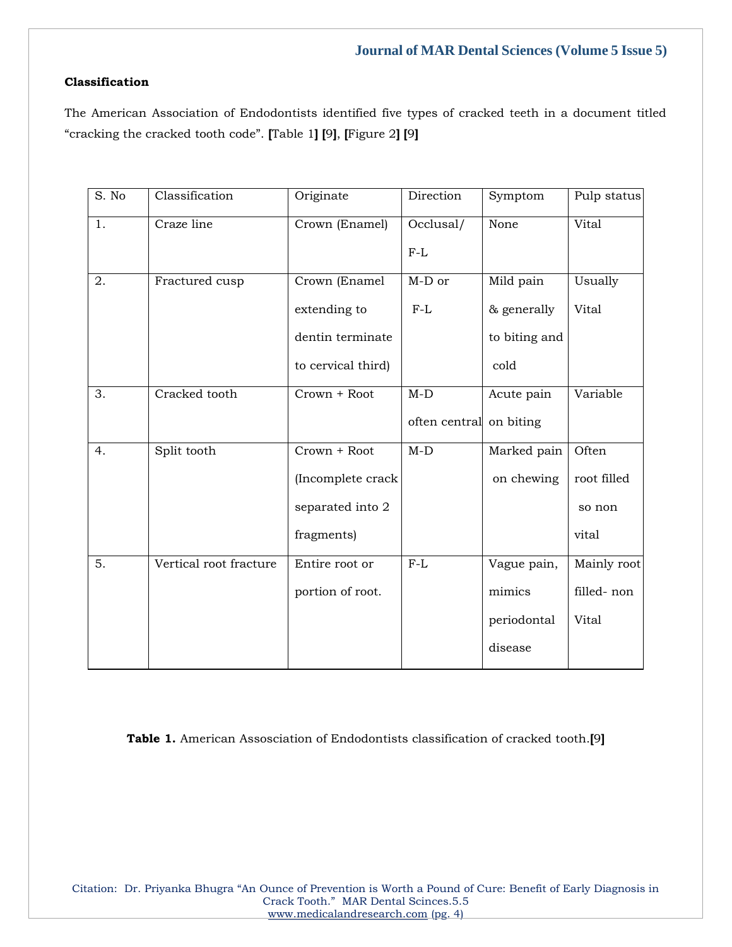## **Classification**

The American Association of Endodontists identified five types of cracked teeth in a document titled "cracking the cracked tooth code". **[**Table 1**] [**9**]**, **[**Figure 2**] [**9**]**

| S. No | Classification         | Originate          | Direction               | Symptom       | Pulp status  |
|-------|------------------------|--------------------|-------------------------|---------------|--------------|
| 1.    | Craze line             | Crown (Enamel)     | Occlusal/               | None          | Vital        |
|       |                        |                    | $F-L$                   |               |              |
| 2.    | Fractured cusp         | Crown (Enamel      | $M-D$ or                | Mild pain     | Usually      |
|       |                        | extending to       | $F-L$                   | & generally   | <b>Vital</b> |
|       |                        | dentin terminate   |                         | to biting and |              |
|       |                        | to cervical third) |                         | cold          |              |
| 3.    | Cracked tooth          | Crown + Root       | $M-D$                   | Acute pain    | Variable     |
|       |                        |                    | often central on biting |               |              |
| 4.    | Split tooth            | Crown + Root       | $M-D$                   | Marked pain   | Often        |
|       |                        | (Incomplete crack  |                         | on chewing    | root filled  |
|       |                        | separated into 2   |                         |               | so non       |
|       |                        | fragments)         |                         |               | vital        |
| 5.    | Vertical root fracture | Entire root or     | $F-L$                   | Vague pain,   | Mainly root  |
|       |                        | portion of root.   |                         | mimics        | filled-non   |
|       |                        |                    |                         | periodontal   | Vital        |
|       |                        |                    |                         | disease       |              |

**Table 1.** American Assosciation of Endodontists classification of cracked tooth.**[**9**]**

Citation: Dr. Priyanka Bhugra "An Ounce of Prevention is Worth a Pound of Cure: Benefit of Early Diagnosis in Crack Tooth." MAR Dental Scinces.5.5 [www.medicalandresearch.com](http://www.medicalandresearch.com/) (pg. 4)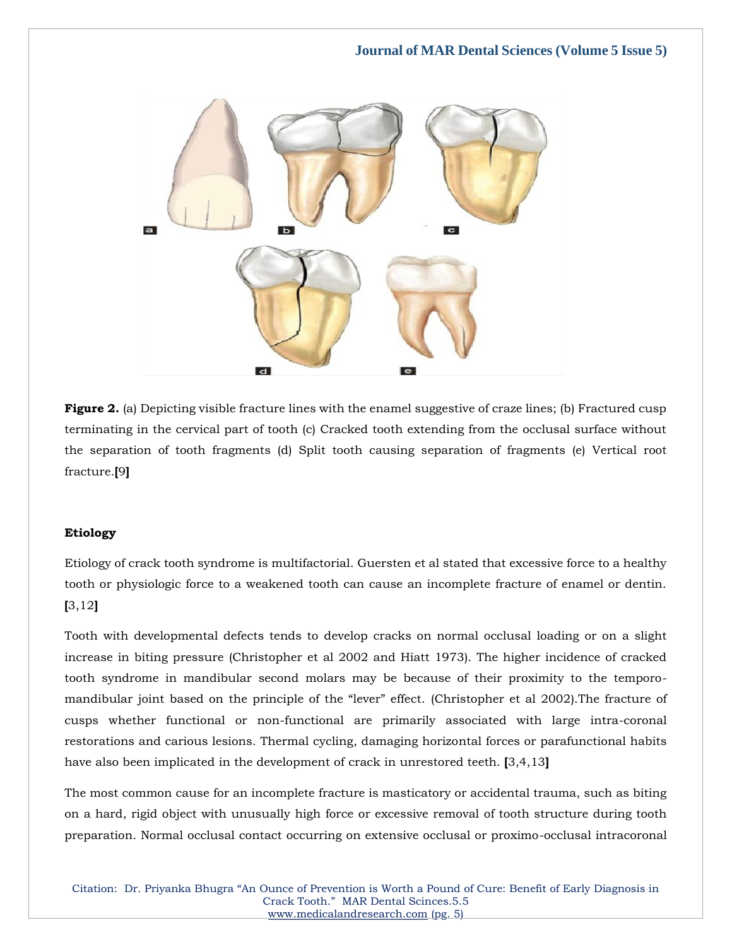

**Figure 2.** (a) Depicting visible fracture lines with the enamel suggestive of craze lines; (b) Fractured cusp terminating in the cervical part of tooth (c) Cracked tooth extending from the occlusal surface without the separation of tooth fragments (d) Split tooth causing separation of fragments (e) Vertical root fracture.**[**9**]**

## **Etiology**

Etiology of crack tooth syndrome is multifactorial. Guersten et al stated that excessive force to a healthy tooth or physiologic force to a weakened tooth can cause an incomplete fracture of enamel or dentin. **[**3,12**]**

Tooth with developmental defects tends to develop cracks on normal occlusal loading or on a slight increase in biting pressure (Christopher et al 2002 and Hiatt 1973). The higher incidence of cracked tooth syndrome in mandibular second molars may be because of their proximity to the temporomandibular joint based on the principle of the "lever" effect. (Christopher et al 2002).The fracture of cusps whether functional or non-functional are primarily associated with large intra-coronal restorations and carious lesions. Thermal cycling, damaging horizontal forces or parafunctional habits have also been implicated in the development of crack in unrestored teeth. **[**3,4,13**]**

The most common cause for an incomplete fracture is masticatory or accidental trauma, such as biting on a hard, rigid object with unusually high force or excessive removal of tooth structure during tooth preparation. Normal occlusal contact occurring on extensive occlusal or proximo-occlusal intracoronal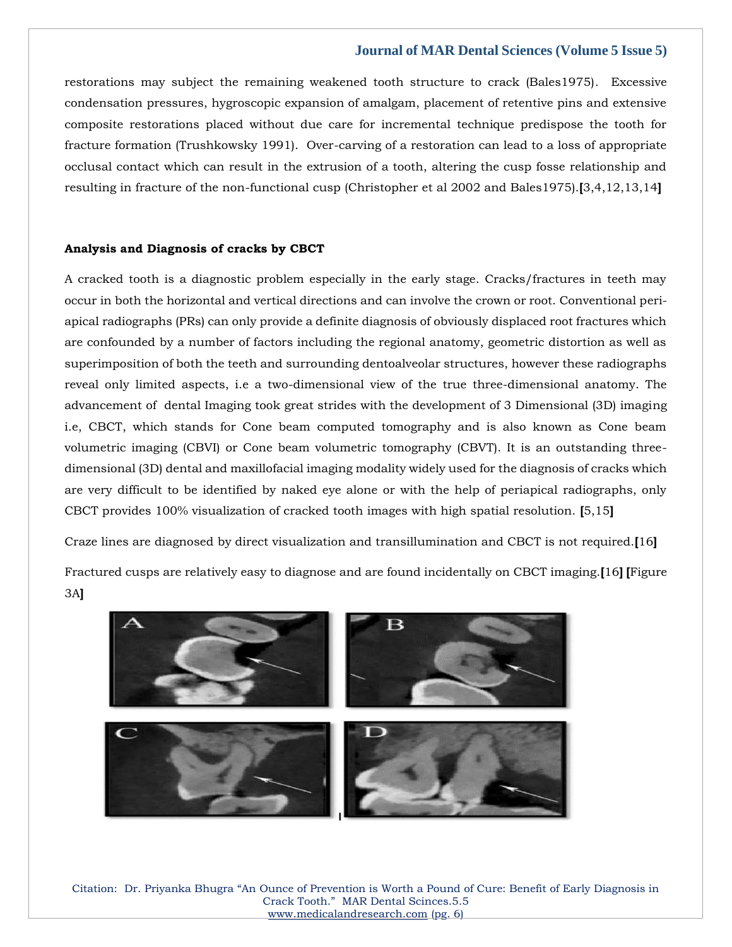restorations may subject the remaining weakened tooth structure to crack (Bales1975). Excessive condensation pressures, hygroscopic expansion of amalgam, placement of retentive pins and extensive composite restorations placed without due care for incremental technique predispose the tooth for fracture formation (Trushkowsky 1991). Over-carving of a restoration can lead to a loss of appropriate occlusal contact which can result in the extrusion of a tooth, altering the cusp fosse relationship and resulting in fracture of the non-functional cusp (Christopher et al 2002 and Bales1975).**[**3,4,12,13,14**]**

#### **Analysis and Diagnosis of cracks by CBCT**

A cracked tooth is a diagnostic problem especially in the early stage. Cracks/fractures in teeth may occur in both the horizontal and vertical directions and can involve the crown or root. Conventional periapical radiographs (PRs) can only provide a definite diagnosis of obviously displaced root fractures which are confounded by a number of factors including the regional anatomy, geometric distortion as well as superimposition of both the teeth and surrounding dentoalveolar structures, however these radiographs reveal only limited aspects, i.e a two-dimensional view of the true three-dimensional anatomy. The advancement of dental Imaging took great strides with the development of 3 Dimensional (3D) imaging i.e, CBCT, which stands for Cone beam computed tomography and is also known as Cone beam volumetric imaging (CBVI) or Cone beam volumetric tomography (CBVT). It is an outstanding threedimensional (3D) dental and maxillofacial imaging modality widely used for the diagnosis of cracks which are very difficult to be identified by naked eye alone or with the help of periapical radiographs, only CBCT provides 100% visualization of cracked tooth images with high spatial resolution. **[**5,15**]**

Craze lines are diagnosed by direct visualization and transillumination and CBCT is not required.**[**16**]**

Fractured cusps are relatively easy to diagnose and are found incidentally on CBCT imaging.**[**16**] [**Figure 3A**]**



Citation: Dr. Priyanka Bhugra "An Ounce of Prevention is Worth a Pound of Cure: Benefit of Early Diagnosis in Crack Tooth." MAR Dental Scinces.5.5 [www.medicalandresearch.com](http://www.medicalandresearch.com/) (pg. 6)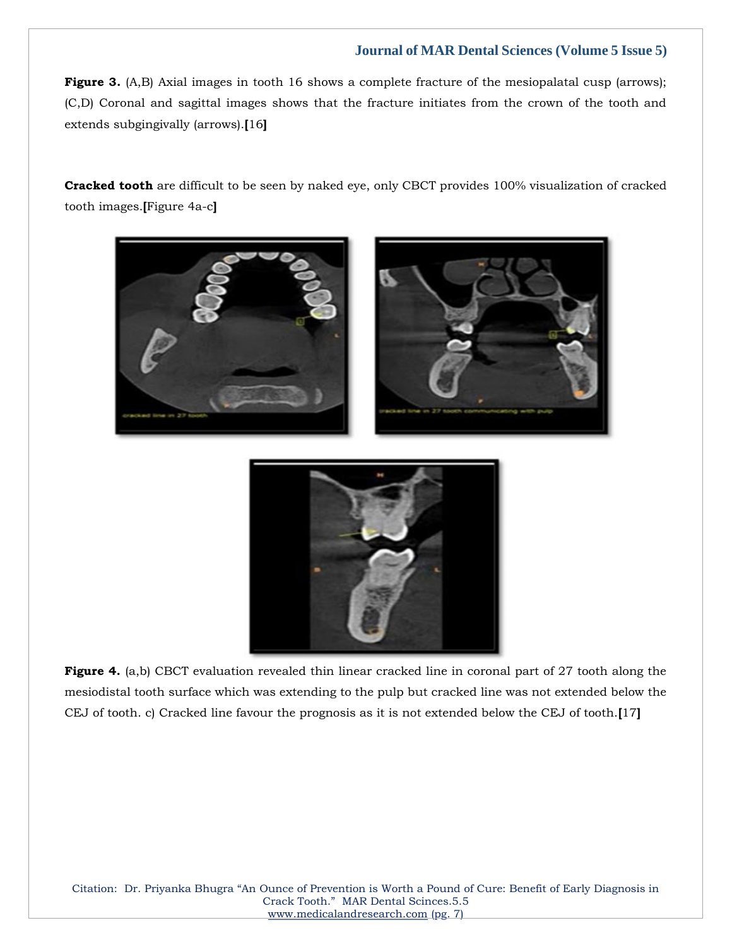**Figure 3.** (A,B) Axial images in tooth 16 shows a complete fracture of the mesiopalatal cusp (arrows); (C,D) Coronal and sagittal images shows that the fracture initiates from the crown of the tooth and extends subgingivally (arrows).**[**16**]**

**Cracked tooth** are difficult to be seen by naked eye, only CBCT provides 100% visualization of cracked tooth images.**[**Figure 4a-c**]**





**Figure 4.** (a,b) CBCT evaluation revealed thin linear cracked line in coronal part of 27 tooth along the mesiodistal tooth surface which was extending to the pulp but cracked line was not extended below the CEJ of tooth. c) Cracked line favour the prognosis as it is not extended below the CEJ of tooth.**[**17**]** 

Citation: Dr. Priyanka Bhugra "An Ounce of Prevention is Worth a Pound of Cure: Benefit of Early Diagnosis in Crack Tooth." MAR Dental Scinces.5.5 [www.medicalandresearch.com](http://www.medicalandresearch.com/) (pg. 7)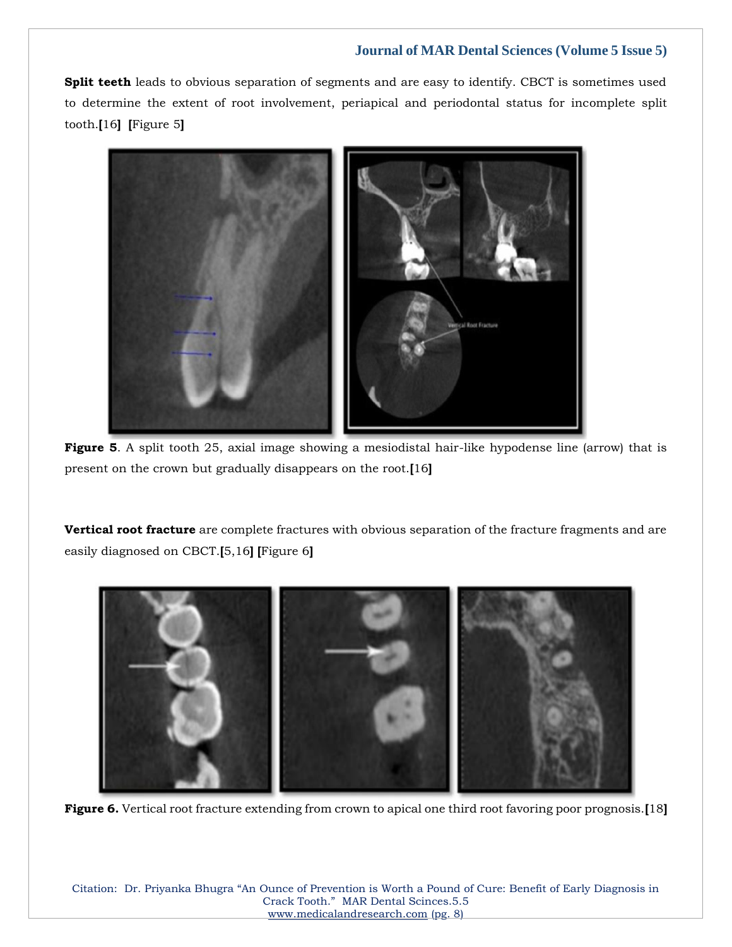**Split teeth** leads to obvious separation of segments and are easy to identify. CBCT is sometimes used to determine the extent of root involvement, periapical and periodontal status for incomplete split tooth.**[**16**] [**Figure 5**]**



**Figure 5.** A split tooth 25, axial image showing a mesiodistal hair-like hypodense line (arrow) that is present on the crown but gradually disappears on the root.**[**16**]**

**Vertical root fracture** are complete fractures with obvious separation of the fracture fragments and are easily diagnosed on CBCT.**[**5,16**] [**Figure 6**]**



**Figure 6.** Vertical root fracture extending from crown to apical one third root favoring poor prognosis.**[**18**]**

Citation: Dr. Priyanka Bhugra "An Ounce of Prevention is Worth a Pound of Cure: Benefit of Early Diagnosis in Crack Tooth." MAR Dental Scinces.5.5 [www.medicalandresearch.com](http://www.medicalandresearch.com/) (pg. 8)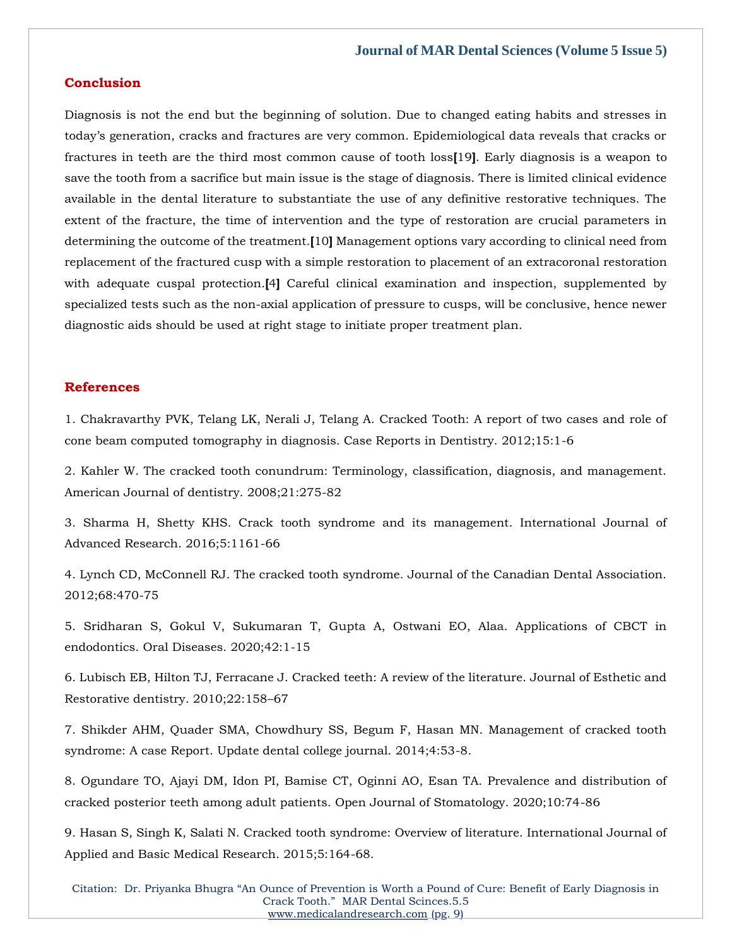## **Conclusion**

Diagnosis is not the end but the beginning of solution. Due to changed eating habits and stresses in today's generation, cracks and fractures are very common. Epidemiological data reveals that cracks or fractures in teeth are the third most common cause of tooth loss**[**19**]**. Early diagnosis is a weapon to save the tooth from a sacrifice but main issue is the stage of diagnosis. There is limited clinical evidence available in the dental literature to substantiate the use of any definitive restorative techniques. The extent of the fracture, the time of intervention and the type of restoration are crucial parameters in determining the outcome of the treatment.**[**10**]** Management options vary according to clinical need from replacement of the fractured cusp with a simple restoration to placement of an extracoronal restoration with adequate cuspal protection.<sup>[4]</sup> Careful clinical examination and inspection, supplemented by specialized tests such as the non-axial application of pressure to cusps, will be conclusive, hence newer diagnostic aids should be used at right stage to initiate proper treatment plan.

## **References**

1. Chakravarthy PVK, Telang LK, Nerali J, Telang A. Cracked Tooth: A report of two cases and role of cone beam computed tomography in diagnosis. Case Reports in Dentistry. 2012;15:1-6

2. Kahler W. The cracked tooth conundrum: Terminology, classification, diagnosis, and management. American Journal of dentistry. 2008;21:275-82

3. Sharma H, Shetty KHS. Crack tooth syndrome and its management. International Journal of Advanced Research. 2016;5:1161-66

4. Lynch CD, McConnell RJ. The cracked tooth syndrome. Journal of the Canadian Dental Association. 2012;68:470-75

5. Sridharan S, Gokul V, Sukumaran T, Gupta A, Ostwani EO, Alaa. Applications of CBCT in endodontics. Oral Diseases. 2020;42:1-15

6. Lubisch EB, Hilton TJ, Ferracane J. Cracked teeth: A review of the literature. Journal of Esthetic and Restorative dentistry. 2010;22:158–67

7. Shikder AHM, Quader SMA, Chowdhury SS, Begum F, Hasan MN. Management of cracked tooth syndrome: A case Report. Update dental college journal. 2014;4:53-8.

8. Ogundare TO, Ajayi DM, Idon PI, Bamise CT, Oginni AO, Esan TA. Prevalence and distribution of cracked posterior teeth among adult patients. Open Journal of Stomatology. 2020;10:74-86

9. Hasan S, Singh K, Salati N. Cracked tooth syndrome: Overview of literature. International Journal of Applied and Basic Medical Research. 2015;5:164-68.